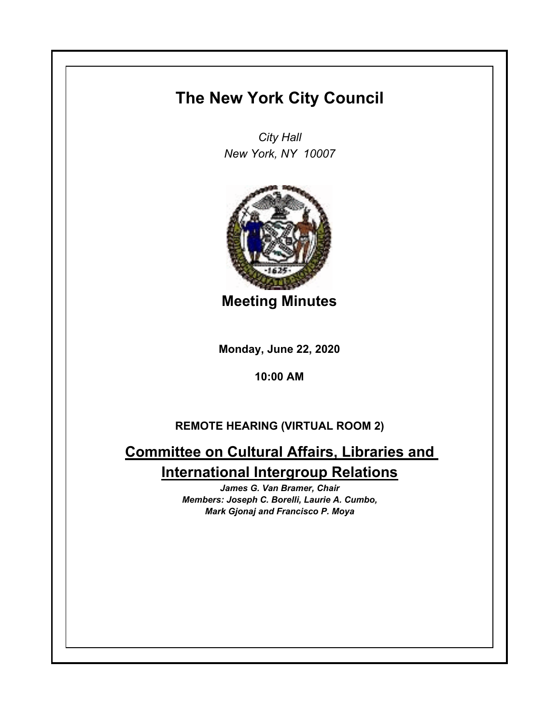## **The New York City Council**

*City Hall New York, NY 10007*



**Meeting Minutes**

**Monday, June 22, 2020**

**10:00 AM**

## **REMOTE HEARING (VIRTUAL ROOM 2)**

**Committee on Cultural Affairs, Libraries and International Intergroup Relations**

> *James G. Van Bramer, Chair Members: Joseph C. Borelli, Laurie A. Cumbo, Mark Gjonaj and Francisco P. Moya*